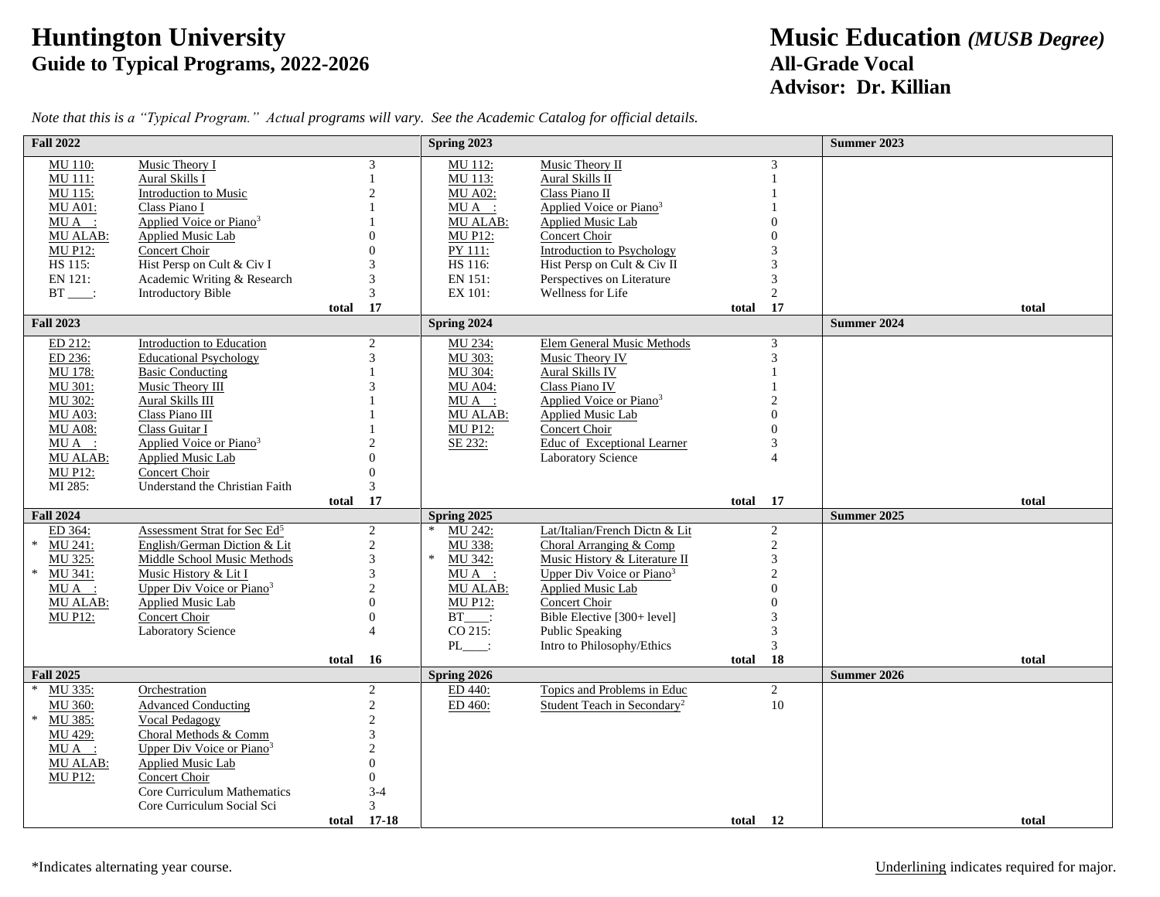## **Huntington University Music Education** *(MUSB Degree)* **Guide to Typical Programs, 2022-2026 All-Grade Vocal**

## **Advisor: Dr. Killian**

| <b>Fall 2022</b>  |                                          |          |                | Spring 2023       |                                         |          |                          | <b>Summer 2023</b>   |
|-------------------|------------------------------------------|----------|----------------|-------------------|-----------------------------------------|----------|--------------------------|----------------------|
| MU 110:           | Music Theory I                           |          | 3              | MU 112:           | Music Theory II                         |          | 3                        |                      |
| MU 111:           | Aural Skills I                           |          |                | MU 113:           | Aural Skills II                         |          |                          |                      |
| MU 115:           | Introduction to Music                    |          | $\overline{2}$ | <b>MU A02:</b>    | Class Piano II                          |          |                          |                      |
| <b>MU A01:</b>    | Class Piano I                            |          |                | $MU A$ :          | Applied Voice or Piano <sup>3</sup>     |          |                          |                      |
| $MU A$ :          | Applied Voice or Piano <sup>3</sup>      |          |                | <b>MU ALAB:</b>   | <b>Applied Music Lab</b>                |          |                          |                      |
| <b>MU ALAB:</b>   | Applied Music Lab                        |          | $\overline{0}$ | <b>MU P12:</b>    | Concert Choir                           |          |                          |                      |
| <b>MU P12:</b>    | Concert Choir                            |          | $\theta$       | PY 111:           | <b>Introduction to Psychology</b>       |          |                          |                      |
| HS 115:           | Hist Persp on Cult & Civ I               |          | 3              | HS 116:           | Hist Persp on Cult & Civ II             |          | 3                        |                      |
| EN 121:           | Academic Writing & Research              |          | 3              | EN 151:           | Perspectives on Literature              |          | 3                        |                      |
| $BT$ :            | <b>Introductory Bible</b>                |          | 3              | EX 101:           | Wellness for Life                       |          | 2                        |                      |
| <b>Fall 2023</b>  |                                          | total    | <b>17</b>      |                   |                                         | total    | <b>17</b>                | total<br>Summer 2024 |
|                   |                                          |          |                | Spring 2024       |                                         |          |                          |                      |
| ED 212:           | Introduction to Education                |          | $\overline{2}$ | MU 234:           | Elem General Music Methods              |          | $\mathfrak{Z}$           |                      |
| ED 236:           | <b>Educational Psychology</b>            |          | $\overline{3}$ | MU 303:           | Music Theory IV                         |          | 3                        |                      |
| MU 178:           | <b>Basic Conducting</b>                  |          |                | MU 304:           | <b>Aural Skills IV</b>                  |          |                          |                      |
| MU 301:           | Music Theory III                         |          | 3              | <b>MU A04:</b>    | Class Piano IV                          |          |                          |                      |
| MU 302:           | Aural Skills III                         |          |                | $MU A$ :          | Applied Voice or Piano <sup>3</sup>     |          | $\overline{c}$           |                      |
| <b>MU A03:</b>    | Class Piano III                          |          |                | <b>MU ALAB:</b>   | Applied Music Lab                       |          | $\Omega$                 |                      |
| <b>MU A08:</b>    | Class Guitar I                           |          |                | <b>MU P12:</b>    | Concert Choir                           |          | $\Omega$                 |                      |
| $MU A$ :          | Applied Voice or Piano <sup>3</sup>      |          | $\mathfrak{2}$ | SE 232:           | Educ of Exceptional Learner             |          | 3                        |                      |
| MU ALAB:          | Applied Music Lab                        |          | $\Omega$       |                   | Laboratory Science                      |          | $\overline{\mathcal{A}}$ |                      |
| <b>MU P12:</b>    | Concert Choir                            |          | $\overline{0}$ |                   |                                         |          |                          |                      |
| MI 285:           | Understand the Christian Faith           |          | 3              |                   |                                         |          |                          |                      |
|                   |                                          | total 17 |                |                   |                                         | total    | - 17                     | total                |
| <b>Fall 2024</b>  |                                          |          |                | Spring 2025       |                                         |          |                          | <b>Summer 2025</b>   |
| ED 364:           | Assessment Strat for Sec Ed <sup>5</sup> |          | $\overline{2}$ | MU 242:           | Lat/Italian/French Dictn & Lit          |          | $\overline{2}$           |                      |
| MU 241:<br>$\ast$ | English/German Diction & Lit             |          | $\sqrt{2}$     | MU 338:<br>$\ast$ | Choral Arranging & Comp                 |          | $\overline{c}$           |                      |
| MU 325:<br>$\ast$ | Middle School Music Methods              |          | $\mathfrak{Z}$ | MU 342:           | Music History & Literature II           |          | 3                        |                      |
| MU 341:           | Music History & Lit I                    |          | 3              | $MU A$ :          | Upper Div Voice or Piano <sup>3</sup>   |          |                          |                      |
| MUA :             | Upper Div Voice or Piano <sup>3</sup>    |          | $\overline{c}$ | <b>MU ALAB:</b>   | <b>Applied Music Lab</b>                |          |                          |                      |
| MU ALAB:          | Applied Music Lab                        |          | $\Omega$       | <b>MU P12:</b>    | Concert Choir                           |          |                          |                      |
| <b>MU P12:</b>    | <b>Concert Choir</b>                     |          | $\overline{0}$ | $BT$ :            | Bible Elective [300+ level]             |          |                          |                      |
|                   | Laboratory Science                       |          | $\overline{4}$ | $CO$ 215:         | Public Speaking                         |          | 3                        |                      |
|                   |                                          |          |                | $PL$ :            | Intro to Philosophy/Ethics              |          | 3                        |                      |
| <b>Fall 2025</b>  |                                          | total    | 16             | Spring 2026       |                                         | total    | <b>18</b>                | total<br>Summer 2026 |
| $\ast$<br>MU 335: | Orchestration                            |          | $\overline{c}$ | ED 440:           | Topics and Problems in Educ             |          | $\overline{c}$           |                      |
| MU 360:           | <b>Advanced Conducting</b>               |          | $\sqrt{2}$     | ED 460:           | Student Teach in Secondary <sup>2</sup> |          | 10                       |                      |
| $\ast$<br>MU 385: | <b>Vocal Pedagogy</b>                    |          | $\sqrt{2}$     |                   |                                         |          |                          |                      |
| MU 429:           | Choral Methods & Comm                    |          | $\overline{3}$ |                   |                                         |          |                          |                      |
| MUA :             | Upper Div Voice or Piano <sup>3</sup>    |          | $\overline{c}$ |                   |                                         |          |                          |                      |
| MU ALAB:          | <b>Applied Music Lab</b>                 |          | $\overline{0}$ |                   |                                         |          |                          |                      |
| <b>MU P12:</b>    | Concert Choir                            |          | $\Omega$       |                   |                                         |          |                          |                      |
|                   | Core Curriculum Mathematics              |          | $3 - 4$        |                   |                                         |          |                          |                      |
|                   | Core Curriculum Social Sci               |          | 3              |                   |                                         |          |                          |                      |
|                   |                                          | total    | $17 - 18$      |                   |                                         | total 12 |                          | total                |

*Note that this is a "Typical Program." Actual programs will vary. See the Academic Catalog for official details.*